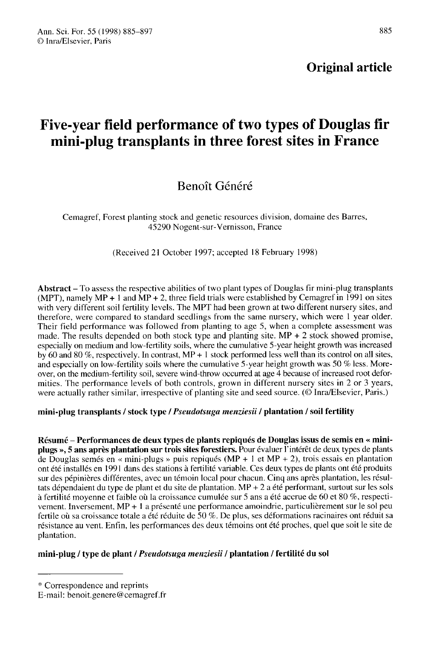# Five-year field performance of two types of Douglas fir mini-plug transplants in three forest sites in France

## Benoit Généré

Cemagref, Forest planting stock and genetic resources division, domaine des Barres, 45290 Nogent-sur-Vernisson, France

(Received 21 October 1997; accepted 18 February 1998)

Abstract - To assess the respective abilities of two plant types of Douglas fir mini-plug transplants (MPT), namely  $MP + 1$  and  $MP + 2$ , three field trials were established by Cemagref in 1991 on sites with very different soil fertility levels. The MPT had been grown at two different nursery sites, and therefore, were compared to standard seedlings from the same nursery, which were I year older. Their field performance was followed from planting to age 5, when a complete assessment was made. The results depended on both stock type and planting site.  $MP + 2$  stock showed promise, especially on medium and low-fertility soils, where the cumulative 5-year height growth was increased by 60 and 80 %, respectively. In contrast,  $MP + 1$  stock performed less well than its control on all sites, and especially on low-fertility soils where the cumulative 5-year height growth was 50 % less. Moreover, on the medium-fertility soil, severe wind-throw occurred at age 4 because of increased root deformities. The performance levels of both controls, grown in different nursery sites in 2 or 3 years, were actually rather similar, irrespective of planting site and seed source. (© Inra/Elsevier, Paris.)

## mini-plug transplants / stock type / Pseudotsuga menziesii / plantation / soil fertility

Résumé - Performances de deux types de plants repiqués de Douglas issus de semis en « miniplugs », 5 ans après plantation sur trois sites forestiers. Pour évaluer l'intérêt de deux types de plants de Douglas semés en « mini-plugs » puis repiqués (MP + 1 et MP + 2), trois essais en plantation ont été installés en 1991 dans des stations à fertilité variable. Ces deux types de plants ont été produits sur des pépinières différentes, avec un témoin local pour chacun. Cinq ans après plantation, les résultats dépendaient du type de plant et du site de plantation. MP + 2 a été performant, surtout sur les sols à fertilité moyenne et faible où la croissance cumulée sur 5 ans a été accrue de 60 et 80 %, respectivement. Inversement, MP + 1 a présenté une performance amoindrie, particulièrement sur le sol peu fertile où sa croissance totale a été réduite de 50 %. De plus, ses déformations racinaires ont réduit sa résistance au vent. Enfin, les performances des deux témoins ont été proches, quel que soit le site de plantation.

## mini-plug / type de plant / Pseudotsuga menziesii / plantation / fertilité du sol

<sup>\*</sup> Correspondence and reprints

E-mail: benoit.genere@cemagref.fr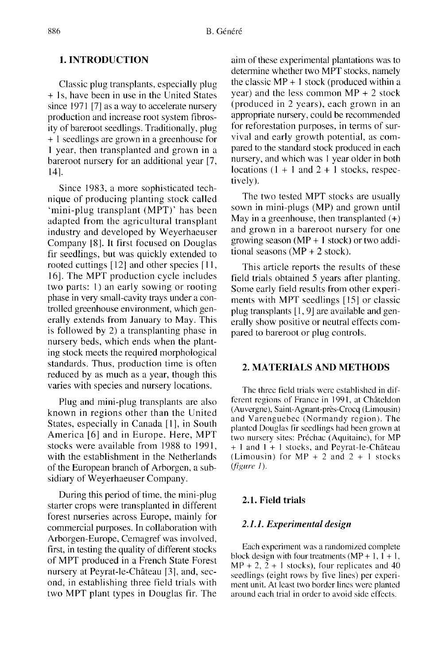## 1. INTRODUCTION

Classic plug transplants, especially plug + ls, have been in use in the United States since 1971 [7] as a way to accelerate nursery production and increase root system fibrosity of bareroot seedlings. Traditionally, plug + 1 seedlings are grown in a greenhouse for 1 year, then transplanted and grown in a bareroot nursery for an additional year [7, 14].

Since 1983, a more sophisticated technique of producing planting stock called 'mini-plug transplant (MPT)' has been adapted from the agricultural transplant industry and developed by Weyerhaeuser Company [8]. It first focused on Douglas fir seedlings, but was quickly extended to rooted cuttings [12] and other species [11, 16]. The MPT production cycle includes two parts: 1) an early sowing or rooting phase in very small-cavity trays under a controlled greenhouse environment, which generally extends from January to May. This is followed by 2) a transplanting phase in nursery beds, which ends when the planting stock meets the required morphological standards. Thus, production time is often reduced by as much as a year, though this varies with species and nursery locations.

Plug and mini-plug transplants are also known in regions other than the United States, especially in Canada [1], in South America [6] and in Europe. Here, MPT stocks were available from 1988 to 1991, with the establishment in the Netherlands of the European branch of Arborgen, a subsidiary of Weyerhaeuser Company.

During this period of time, the mini-plug starter crops were transplanted in different forest nurseries across Europe, mainly for commercial purposes. In collaboration with Arborgen-Europe, Cemagref was involved, first, in testing the quality of different stocks of MPT produced in a French State Forest nursery at Peyrat-le-Château [3], and, second, in establishing three field trials with two MPT plant types in Douglas fir. The aim of these experimental plantations was to determine whether two MPT stocks, namely the classic  $MP + 1$  stock (produced within a year) and the less common  $MP + 2$  stock (produced in 2 years), each grown in an appropriate nursery, could be recommended for reforestation purposes, in terms of survival and early growth potential, as compared to the standard stock produced in each nursery, and which was 1 year older in both locations  $(1 + 1$  and  $2 + 1$  stocks, respectively).

The two tested MPT stocks are usually sown in mini-plugs (MP) and grown until May in a greenhouse, then transplanted  $(+)$ and grown in a bareroot nursery for one growing season ( $MP + 1$  stock) or two additional seasons  $(MP + 2$  stock).

This article reports the results of these field trials obtained 5 years after planting.<br>Some early field results from other experiments with MPT seedlings [15] or classic plug transplants [1, 9] are available and generally show positive or neutral effects compared to bareroot or plug controls.

## 2. MATERIALS AND METHODS

The three field trials were established in different regions of France in 1991, at Châteldon (Auvergne), Saint-Agnant-près-Crocq (Limousin) and Varenguebec (Normandy region). The planted Douglas fir seedlings had been grown at two nursery sites: Préchac (Aquitaine), for MP + I and I + 1 stocks, and Peyrat-le-Château (Limousin) for  $MP + 2$  and  $2 + 1$  stocks (figure 1).

#### 2.1. Field trials

### 2.1.1. Experimental design

Each experiment was a randomized complete<br>block design with four treatments  $(MP + 1, 1 + 1,$  $MP + 2$ ,  $2 + 1$  stocks), four replicates and 40 seedlings (eight rows by five lines) per experi ment unit. At least two border lines were planted around each trial in order to avoid side effects.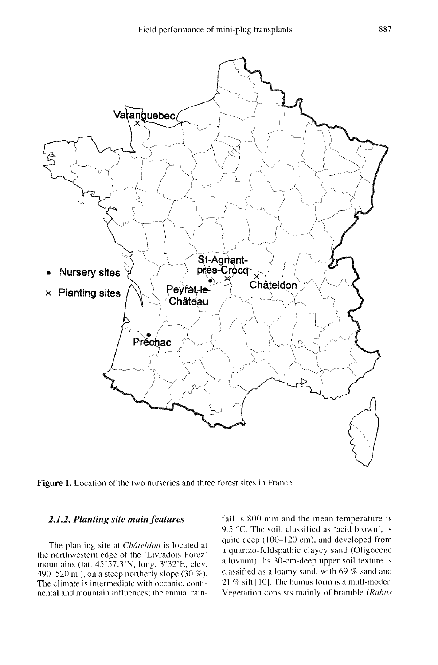

Figure 1. Location of the two nurseries and three forest sites in France.

## 2.1.2. Planting site main features

The planting site at *Châteldon* is located at the northwestern edge of the 'Livradois-Forez' mountains (lat. 45°57.3'N, long. 3°32'E, elev. 490–520 m ), on a steep northerly slope  $(30\%)$ . The climate is intermediate with oceanic, continental and mountain influences; the annual rain-

fall is 800 mm and the mean temperature is 9.5 °C. The soil, classified as 'acid brown', is quite deep (100-120 cm), and developed from a quartzo-feldspathic clayey sand (Oligocene alluvium). Its 30-cm-deep upper soil texture is classified as a loamy sand, with 69 % sand and 21 % silt [10]. The humus form is a mull-moder. Vegetation consists mainly of bramble (Rubus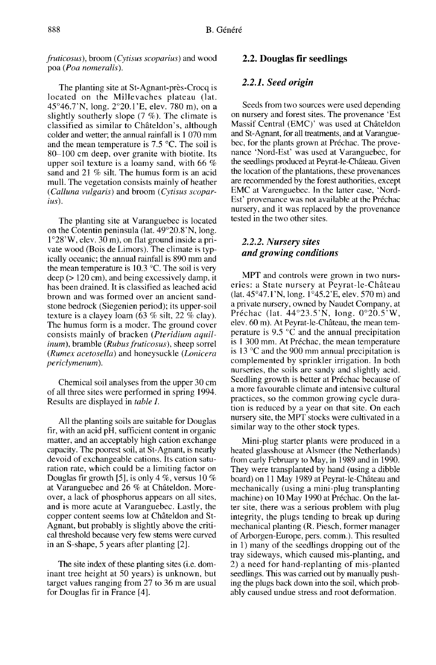fruticosus), broom (Cytisus scoparius) and wood poa (Poa nomeralis).

The planting site at St-Agnant-près-Crocq is located on the Millevaches plateau (lat. 45°46.7'N, long. 2°20.1'E, elev. 780 m), on a slightly southerly slope  $(7 \%)$ . The climate is classified as similar to Châteldon's, although colder and wetter; the annual rainfall is 1 070 mm and the mean temperature is 7.5 °C. The soil is 80-100 cm deep, over granite with biotite. Its upper soil texture is a loamy sand, with 66 % sand and 21 % silt. The humus form is an acid mull. The vegetation consists mainly of heather (Calluna vulgaris) and broom (Cytisus scoparius).

The planting site at Varanguebec is located on the Cotentin peninsula (lat.  $49^{\circ}20.8^{\circ}$ N, long.  $1^{\circ}28^{\circ}$ W, elev. 30 m), on flat ground inside a private wood (Bois de Limors). The climate is typically oceanic; the annual rainfall is 890 mm and the mean temperature is 10.3 °C. The soil is very deep (> 120 cm), and being excessively damp, it has been drained. It is classified as leached acid brown and was formed over an ancient sandstone bedrock (Siegenien period); its upper-soil texture is a clayey loam (63 % silt, 22 % clay). The humus form is a moder. The ground cover consists mainly of bracken (Pteridium aquilinum), bramble (Rubus fruticosus), sheep sorrel (Rumex acetosella) and honeysuckle (Lonicera periclymenum).

Chemical soil analyses from the upper 30 cm of all three sites were performed in spring 1994. Results are displayed in table I.

All the planting soils are suitable for Douglas fir, with an acid pH, sufficient content in organic matter, and an acceptably high cation exchange capacity. The poorest soil, at St-Agnant, is nearly devoid of exchangeable cations. Its cation saturation rate, which could be a limiting factor on Douglas fir growth [5], is only 4 %, versus 10 % at Varanguebec and 26 % at Châteldon. Moreover, a lack of phosphorus appears on all sites, and is more acute at Varanguebec. Lastly, the copper content seems low at Châteldon and St-Agnant, but probably is slightly above the critical threshold because very few stems were curved in an S-shape, 5 years after planting [2].

The site index of these planting sites (i.e. dominant tree height at 50 years) is unknown, but target values ranging from 27 to 36 m are usual for Douglas fir in France [4].

#### 2.2. Douglas fir seedlings

#### 2.2.1. Seed origin

Seeds from two sources were used depending on nursery and forest sites. The provenance 'Est Massif Central (EMC)' was used at Châteldon and St-Agnant, for all treatments, and at Varanguebec, for the plants grown at Préchac. The provenance 'Nord-Est' was used at Varanguebec, for the seedlings produced at Peyrat-le-Château. Given the location of the plantations, these provenances are recommended by the forest authorities, except EMC at Varenguebec. In the latter case, 'Nord-Est' provenance was not available at the Préchac nursery, and it was replaced by the provenance tested in the two other sites.

## 2.2.2. Nursery sites and growing conditions

MPT and controls were grown in two nurseries: a State nursery at Peyrat-le-Château (lat. 45°47.1'N, long. 1°45.2'E, elev. 570 m) and a private nursery, owned by Naudet Company, at Préchac (lat. 44°23.5'N, long. 0°20.5'W, elev. 60 m). At Peyrat-le-Château, the mean temperature is 9.5  $\degree$ C and the annual precipitation is 1 300 mm. At Préchac, the mean temperature is 13  $\degree$ C and the 900 mm annual precipitation is complemented by sprinkler irrigation. In both nurseries, the soils are sandy and slightly acid. Seedling growth is better at Préchac because of a more favourable climate and intensive cultural practices, so the common growing cycle duration is reduced by a year on that site. On each nursery site, the MPT stocks were cultivated in a similar way to the other stock types.

Mini-plug starter plants were produced in a heated glasshouse at Alsmeer (the Netherlands) from early February to May, in 1989 and in 1990. They were transplanted by hand (using a dibble board) on 11 May 1989 at Peyrat-le-Château and mechanically (using a mini-plug transplanting machine) on 10 May 1990 at Préchac. On the latter site, there was a serious problem with plug integrity, the plugs tending to break up during mechanical planting (R. Piesch, former manager of Arborgen-Europe, pers. comm.). This resulted in 1) many of the seedlings dropping out of the tray sideways, which caused mis-planting, and 2) a need for hand-replanting of mis-planted seedlings. This was carried out by manually pushing the plugs back down into the soil, which probably caused undue stress and root deformation.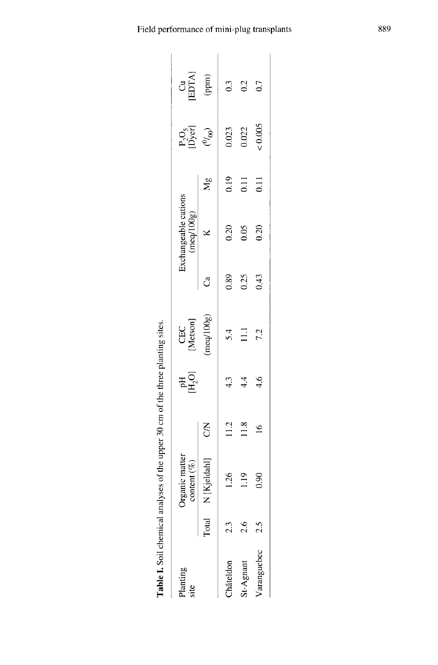| Planting<br>site |       | ganic matter<br>content $(\%)$ |             | $\mathbb{H}^{\mathrm{H}}_{2}$ | CEC<br>[Metson] |      | Exchangeable cations<br>(meq/100g) |                  | $\begin{array}{c} \mathbf{P}_2\mathbf{O}_5 \\  \mathbf{D}\rangle\mathrm{erl} \\ (\theta\prime_{00}) \end{array}$ | $\begin{array}{c} \text{Cu} \\ \text{[ETA]} \\ \text{(ppm)} \end{array}$ |
|------------------|-------|--------------------------------|-------------|-------------------------------|-----------------|------|------------------------------------|------------------|------------------------------------------------------------------------------------------------------------------|--------------------------------------------------------------------------|
|                  | Total | [Kjeldah]<br>Z                 | S           |                               | meq/100g)       | Ĵ    | $\mathbb{R}$                       | $M_{\rm g}$      |                                                                                                                  |                                                                          |
| hâteldon         |       | 1.26                           | 11.2        | 4.3                           | 5.4             | 0.89 | 0.20                               | 0.19             | 0.023                                                                                                            | 0.3                                                                      |
| St-Agnant        |       | $\frac{9}{2}$                  | 1.8         | 4.4                           | $\Xi$           | 0.25 | 0.05                               | $\overline{0}$ . | 0.022                                                                                                            | 0.2                                                                      |
| Varanguebec      |       | 0.90                           | $\tilde{e}$ | 4.6                           | 7.2             | 0.43 | 0.20                               | $\overline{0}$ . | &0.005                                                                                                           | 0.7                                                                      |

Table I. Soil chemical analyses of the upper 30 cm of the three planting sites.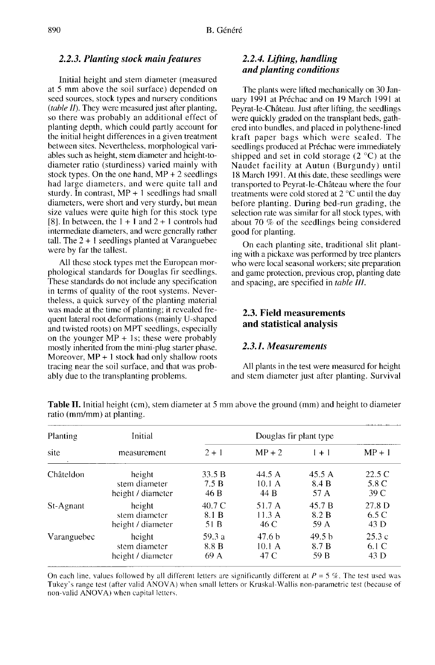#### 2.2.3. Planting stock main features

Initial height and stem diameter (measured at 5 mm above the soil surface) depended on seed sources, stock types and nursery conditions (table II). They were measured just after planting, so there was probably an additional effect of planting depth, which could partly account for the initial height differences in a given treatment between sites. Nevertheless, morphological variables such as height, stem diameter and height-todiameter ratio (sturdiness) varied mainly with stock types. On the one hand,  $MP + 2$  seedlings had large diameters, and were quite tall and sturdy. In contrast,  $MP + 1$  seedlings had small diameters, were short and very sturdy, but mean size values were quite high for this stock type [8]. In between, the  $1 + 1$  and  $2 + 1$  controls had intermediate diameters, and were generally rather tall. The  $2 + 1$  seedlings planted at Varanguebec were by far the tallest.

All these stock types met the European morphological standards for Douglas fir seedlings. These standards do not include any specification in terms of quality of the root systems. Nevertheless, a quick survey of the planting material was made at the time of planting; it revealed frequent lateral root deformations (mainly U-shaped and twisted roots) on MPT seedlings, especially on the younger MP  $+$  1s; these were probably mostly inherited from the mini-plug starter phase. Moreover,  $MP + 1$  stock had only shallow roots tracing near the soil surface, and that was probably due to the transplanting problems.

## 2.2.4. Lifting, handling and planting conditions

The plants were lifted mechanically on 30 January 1991 at Préchac and on 19 March 1991 at Peyrat-le-Château. Just after lifting, the seedlings were quickly graded on the transplant beds, gathered into bundles, and placed in polythene-lined kraft paper bags which were sealed. The seedlings produced at Préchac were immediately shipped and set in cold storage (2 °C) at the Naudet facility at Autun (Burgundy) until 18 March 1991. At this date, these seedlings were transported to Peyrat-le-Château where the four treatments were cold stored at 2 °C until the day before planting. During bed-run grading, the selection rate was similar for all stock types, with about 70 % of the seedlings being considered good for planting.

On each planting site, traditional slit planting with a pickaxe was performed by tree planters who were local seasonal workers; site preparation and game protection, previous crop, planting date and spacing, are specified in table III.

## 2.3. Field measurements and statistical analysis

#### 2.3.1. Measurements

All plants in the test were measured for height and stem diameter just after planting. Survival

| <b>Planting</b> | Initial<br>measurement | Douglas fir plant type |          |         |                  |  |
|-----------------|------------------------|------------------------|----------|---------|------------------|--|
| site            |                        | $2 + 1$                | $MP + 2$ | $1 + 1$ | $MP + 1$         |  |
| Châteldon       | height                 | 33.5 B                 | 44.5 A   | 45.5 A  | 22.5C            |  |
|                 | stem diameter          | 7.5 B                  | 10.1 A   | 8.4 B   | 5.8 C            |  |
|                 | height / diameter      | 46 B                   | 44 B     | 57 A    | 39 C             |  |
| St-Agnant       | height                 | 40.7 C                 | 51.7 A   | 45.7 B  | 27.8 D           |  |
|                 | stem diameter          | 8.1 B                  | 11.3A    | 8.2 B   | 6.5C             |  |
|                 | height / diameter      | 51 B                   | 46 C     | 59 A    | 43 D             |  |
| Varanguebec     | height                 | 59.3 a                 | 47.6 b   | 49.5 b  | 25.3c            |  |
|                 | stem diameter          | 8.8 B                  | 10.1 A   | 8.7 B   | 6.1 <sub>C</sub> |  |
|                 | height / diameter      | 69 A                   | 47 C     | 59 B    | 43 D             |  |

**Table II.** Initial height (cm), stem diameter at 5 mm above the ground (mm) and height to diameter ratio (mm/mm) at planting.

On each line, values followed by all different letters are significantly different at  $P = 5\%$ . The test used was Tukey's range test (after valid ANOVA) when small letters or Kruskal-Wallis non-parametric test (because of non-valid ANOVA) when capital letters.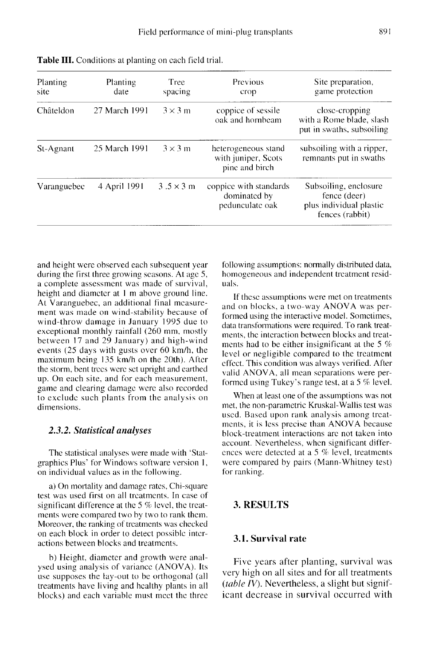| Planting<br>site | Planting<br>date | Tree<br>spacing  | Previous<br>crop                                             | Site preparation,<br>game protection                                                |
|------------------|------------------|------------------|--------------------------------------------------------------|-------------------------------------------------------------------------------------|
| Châteldon        | 27 March 1991    | $3 \times 3$ m   | coppice of sessile<br>oak and hornbeam                       | close-cropping<br>with a Rome blade, slash<br>put in swaths, subsoiling             |
| St-Agnant        | 25 March 1991    | $3 \times 3$ m   | heterogeneous stand<br>with juniper, Scots<br>pine and birch | subsoiling with a ripper,<br>remnants put in swaths                                 |
| Varanguebec      | 4 April 1991     | $3.5 \times 3$ m | coppice with standards<br>dominated by<br>pedunculate oak    | Subsoiling, enclosure<br>fence (deer)<br>plus individual plastic<br>fences (rabbit) |

Table III. Conditions at planting on each field trial.

and height were observed each subsequent year during the first three growing seasons. At age 5, a complete assessment was made of survival. height and diameter at 1 m above ground line. At Varanguebec, an additional final measurement was made on wind-stability because of wind-throw damage in January 1995 due to exceptional monthly rainfall (260 mm, mostly between 17 and 29 January) and high-wind events (25 days with gusts over 60 km/h, the maximum being 135 km/h on the 20th). After the storm, bent trees were set upright and earthed up. On each site, and for each measurement, game and clearing damage were also recorded to exclude such plants from the analysis on dimensions.

## 2.3.2. Statistical analyses

The statistical analyses were made with 'Statgraphics Plus' for Windows software version 1, on individual values as in the following.

a) On mortality and damage rates, Chi-square test was used first on all treatments. In case of significant difference at the 5 % level, the treatments were compared two by two to rank them. Moreover, the ranking of treatments was checked on each block in order to detect possible intcractions between blocks and treatments.

b) Height, diameter and growth were analysed using analysis of variance (ANOVA). Its use supposes the lay-out to be orthogonal (all treatments have living and healthy plants in all blocks) and each variable must meet the three

following assumptions: normally distributed data, homogeneous and independent treatment residuals.

If these assumptions were met on treatments and on blocks, a two-way ANOVA was performed using the interactive model. Sometimes, data transformations were required. To rank treatments, the interaction between blocks and treatments had to be either insignificant at the 5 % level or negligible compared to the treatment effect. This condition was always verified. After valid ANOVA, all mean separations were performed using Tukey's range test, at a 5 % level.

When at least one of the assumptions was not met, the non-parametric Kruskal-Wallis test was used. Based upon rank analysis among treatments, it is less precise than ANOVA because block-treatment interactions are not taken into account. Nevertheless, when significant differences were detected at a 5 % level, treatments were compared by pairs (Mann-Whitney test) for ranking.

## 3. RESULTS

## 3.1. Survival rate

Five years after planting, survival was very high on all sites and for all treatments (table IV). Nevertheless, a slight but significant decrease in survival occurred with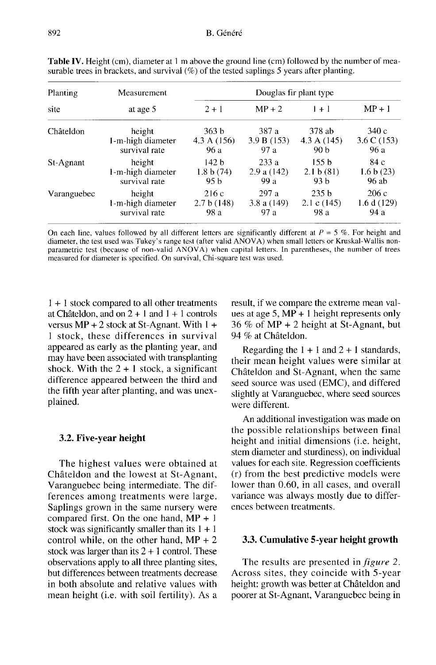| Planting<br>site | Measurement       | Douglas fir plant type |               |                  |                       |  |
|------------------|-------------------|------------------------|---------------|------------------|-----------------------|--|
|                  | at age 5          | $2 + 1$                | $MP + 2$      | $1 + 1$          | $MP + 1$              |  |
| Châteldon        | height            | 363 b                  | 387 a         | 378 ab           | 340 c                 |  |
|                  | 1-m-high diameter | 4.3 A (156)            | 3.9 B(153)    | 4.3 A(145)       | $3.6 \text{ C} (153)$ |  |
|                  | survival rate     | 96 a                   | 97a           | 90 b             | 96 a                  |  |
| St-Agnant        | height            | 142 h                  | 233a          | 155h             | 84 с                  |  |
|                  | 1-m-high diameter | 1.8 b(74)              | 2.9a(142)     | 2.1 b(81)        | 1.6 b(23)             |  |
|                  | survival rate     | 95 b                   | 99 a          | 93 b             | 96 ab                 |  |
| Varanguebec      | height            | 216 c                  | 297 a         | 235 <sub>b</sub> | 206c                  |  |
|                  | 1-m-high diameter | 2.7 b(148)             | 3.8 a $(149)$ | 2.1 c $(145)$    | 1.6 d (129)           |  |
|                  | survival rate     | 98 a                   | 97 a          | 98 a             | 94 a                  |  |

Table IV. Height (cm), diameter at 1 m above the ground line (cm) followed by the number of measurable trees in brackets, and survival  $(\%)$  of the tested saplings 5 years after planting.

On each line, values followed by all different letters are significantly different at  $P = 5\%$ . For height and diameter, the test used was Tukey's range test (after valid ANOVA) when small letters or Kruskal-Wallis nonparametric test (because of non-valid ANOVA) when capital letters. In parentheses, the number of trees measured for diameter is specified. On survival, Chi-square test was used.

1 + 1 stock compared to all other treatments at Châteldon, and on  $2 + 1$  and  $1 + 1$  controls versus  $MP + 2$  stock at St-Agnant. With  $1 +$ 1 stock, these differences in survival appeared as early as the planting year, and may have been associated with transplanting shock. With the  $2 + 1$  stock, a significant difference appeared between the third and the fifth year after planting, and was unexplained.

#### 3.2. Five-year height

The highest values were obtained at Châteldon and the lowest at St-Agnant, Varanguebec being intermediate. The differences among treatments were large. Saplings grown in the same nursery were compared first. On the one hand,  $MP + 1$ stock was significantly smaller than its  $1 + 1$ control while, on the other hand,  $MP + 2$ stock was larger than its  $2 + 1$  control. These observations apply to all three planting sites, but differences between treatments decrease in both absolute and relative values with mean height (i.e. with soil fertility). As a result, if we compare the extreme mean values at age 5, MP + I height represents only 36 % of MP + 2 height at St-Agnant, but 94 % at Châteldon.

Regarding the  $1 + 1$  and  $2 + 1$  standards, their mean height values were similar at Châteldon and St-Agnant, when the same seed source was used (EMC), and differed slightly at Varanguebec, where seed sources were different.

An additional investigation was made on the possible relationships between final height and initial dimensions (i.e. height, stem diameter and sturdiness), on individual values for each site. Regression coefficients (r) from the best predictive models were lower than 0.60, in all cases, and overall variance was always mostly due to differences between treatments.

## 3.3. Cumulative 5-year height growth

The results are presented in *figure 2*. Across sites, they coincide with 5-year height: growth was better at Châteldon and poorer at St-Agnant, Varanguebec being in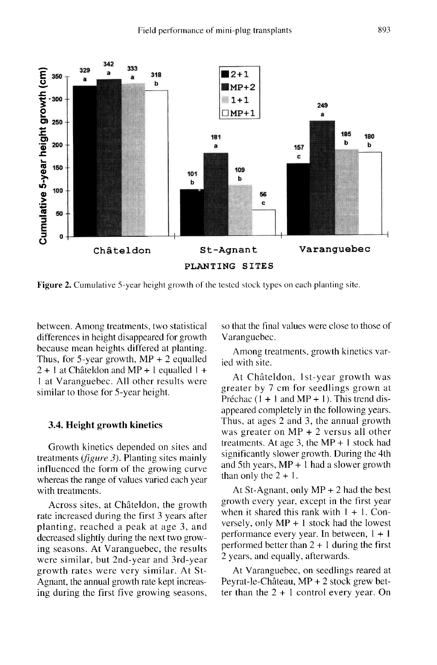

**Figure 2.** Cumulative 5-year height growth of the tested stock types on each planting site.

between. Among treatments, two statistical differences in height disappeared for growth because mean heights differed at planting. Thus, for 5-year growth,  $MP + 2$  equalled  $2 + 1$  at Châteldon and MP + 1 equalled 1 + I at Varanguebec. All other results were similar to those for 5-year height.

#### 3.4. Height growth kinetics

Growth kinetics depended on sites and treatments (*figure 3*). Planting sites mainly influenced the form of the growing curve whereas the range of values varied each year with treatments.

Across sites, at Châteldon, the growth rate increased during the first 3 years after planting, reached a peak at age 3, and decreased slightly during the next two growing seasons. At Varanguebec, the results were similar, but 2nd-year and 3rd-year growth rates were very similar. At St-Agnant, the annual growth rate kept increasing during the first five growing seasons, so that the final values were close to those of Varanguebec.

Among treatments, growth kinetics varied with site.

At Châteldon, 1st-year growth was greater by 7 cm for seedlings grown at Préchac  $(1 + 1$  and  $MP + 1)$ . This trend disappeared completely in the following years.<br>Thus, at ages 2 and 3, the annual growth was greater on MP + 2 versus all other treatments. At age 3, the  $MP + 1$  stock had significantly slower growth. During the 4th and 5th years,  $MP + 1$  had a slower growth than only the  $2 + 1$ .

At St-Agnant, only  $MP + 2$  had the best growth every year, except in the first year when it shared this rank with  $1 + 1$ . Conversely, only MP + I stock had the lowest performance every year. In between, 1 + I performed better than  $2 + 1$  during the first 2 years, and equally, afterwards.

At Varanguebec, on seedlings reared at Peyrat-le-Château, MP + 2 stock grew better than the  $2 + 1$  control every year. On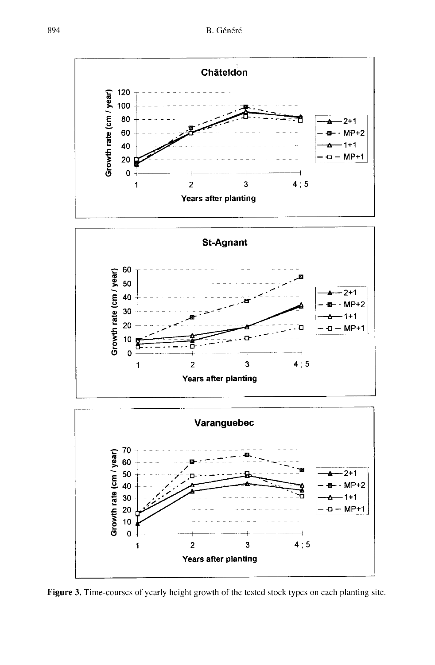

Figure 3. Time-courses of yearly height growth of the tested stock types on each planting site.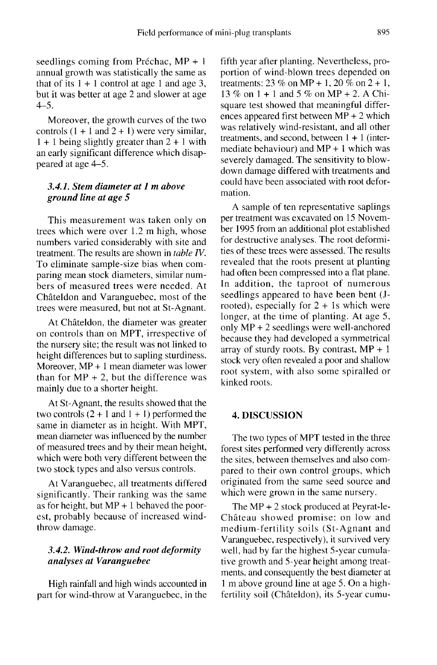seedlings coming from Préchac, MP + 1 annual growth was statistically the same as that of its  $1 + 1$  control at age 1 and age 3, but it was better at age 2 and slower at age 4-5.

Moreover, the growth curves of the two controls  $(1 + 1$  and  $2 + 1)$  were very similar,  $1 + 1$  being slightly greater than  $2 + 1$  with an early significant difference which disappeared at age 4-5.

## 3.4.1. Stem diameter at 1 m above ground line at age 5

This measurement was taken only on trees which were over 1.2 m high, whose numbers varied considerably with site and treatment. The results are shown in table IV. To eliminate sample-size bias when comparing mean stock diameters, similar numbers of measured trees were needed. At Châteldon and Varanguebec, most of the trees were measured, but not at St-Agnant.

At Châteldon, the diameter was greater on controls than on MPT, irrespective of the nursery site; the result was not linked to height differences but to sapling sturdiness. Moreover, MP + 1 mean diameter was lower than for  $MP + 2$ , but the difference was mainly due to a shorter height.

At St-Agnant, the results showed that the two controls  $(2 + 1$  and  $1 + 1)$  performed the same in diameter as in height. With MPT, mean diameter was influenced by the number of measured trees and by their mean height, which were both very different between the two stock types and also versus controls.

At Varanguebec, all treatments differed significantly. Their ranking was the same as for height, but  $MP + 1$  behaved the poorest, probably because of increased windthrow damage.

## 3.4.2. Wind-throw and root deformity analyses at Varanguebec

High rainfall and high winds accounted in part for wind-throw at Varanguebec, in the fifth year after planting. Nevertheless, proportion of wind-blown trees depended on treatments:  $23\%$  on MP + 1,  $20\%$  on  $2 + 1$ , 13 % on I + 1 and 5 % on MP + 2. A Chisquare test showed that meaningful differences appeared first between MP + 2 which was relatively wind-resistant, and all other treatments, and second, between 1 + 1 (intermediate behaviour) and  $MP + 1$  which was severely damaged. The sensitivity to blowdown damage differed with treatments and could have been associated with root deformation.

A sample of ten representative saplings per treatment was excavated on 15 November 1995 from an additional plot established for destructive analyses. The root deformities of these trees were assessed. The results revealed that the roots present at planting had often been compressed into a flat plane. In addition, the taproot of numerous seedlings appeared to have been bent (Jrooted), especially for  $2 + 1s$  which were longer, at the time of planting. At age 5, only MP + 2 seedlings were well-anchored because they had developed a symmetrical array of sturdy roots. By contrast,  $MP + 1$ stock very often revealed a poor and shallow root system, with also some spiralled or kinked roots.

## 4. DISCUSSION

The two types of MPT tested in the three forest sites performed very differently across the sites, between themselves and also compared to their own control groups, which originated from the same seed source and which were grown in the same nursery.

The MP + 2 stock produced at Peyrat-le-Château showed promise: on low and medium-fertility soils (St-Agnant and Varanguebec, respectively), it survived very well, had by far the highest 5-year cumulative growth and 5-year height among treatments, and consequently the best diameter at 1 m above ground line at age 5. On a highfertility soil (Châteldon), its 5-year cumu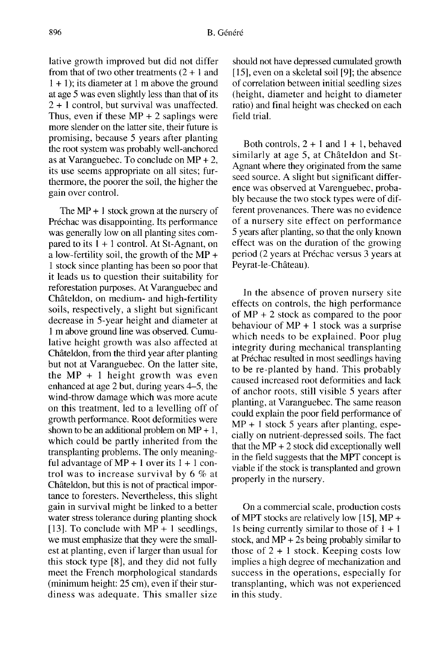lative growth improved but did not differ from that of two other treatments  $(2 + 1)$  and 1 + 1); its diameter at 1 m above the ground at age 5 was even slightly less than that of its 2 + 1 control, but survival was unaffected. Thus, even if these  $MP + 2$  saplings were more slender on the latter site, their future is promising, because 5 years after planting the root system was probably well-anchored as at Varanguebec. To conclude on  $MP + 2$ , its use seems appropriate on all sites; furthermore, the poorer the soil, the higher the gain over control.

The  $MP + 1$  stock grown at the nursery of Préchac was disappointing. Its performance was generally low on all planting sites compared to its  $1 + 1$  control. At St-Agnant, on a low-fertility soil, the growth of the MP + 1 stock since planting has been so poor that it leads us to question their suitability for reforestation purposes. At Varanguebec and Châteldon, on medium- and high-fertility soils, respectively, a slight but significant decrease in 5-year height and diameter at 1 m above ground line was observed. Cumulative height growth was also affected at Châteldon, from the third year after planting but not at Varanguebec. On the latter site, the  $MP + 1$  height growth was even enhanced at age 2 but, during years 4-5, the wind-throw damage which was more acute on this treatment, led to a levelling off of growth performance. Root deformities were shown to be an additional problem on  $MP + 1$ , which could be partly inherited from the transplanting problems. The only meaningful advantage of  $MP + 1$  over its  $1 + 1$  control was to increase survival by 6 % at Châteldon, but this is not of practical impor tance to foresters. Nevertheless, this slight gain in survival might be linked to a better water stress tolerance during planting shock [13]. To conclude with  $MP + 1$  seedlings, we must emphasize that they were the smallest at planting, even if larger than usual for this stock type [8], and they did not fully meet the French morphological standards (minimum height: 25 cm), even if their sturdiness was adequate. This smaller size

should not have depressed cumulated growth [15], even on a skeletal soil [9]; the absence of correlation between initial seedling sizes (height, diameter and height to diameter ratio) and final height was checked on each field trial.

Both controls,  $2 + 1$  and  $1 + 1$ , behaved similarly at age 5, at Châteldon and St-Agnant where they originated from the same seed source. A slight but significant difference was observed at Varenguebec, probably because the two stock types were of different provenances. There was no evidence of a nursery site effect on performance 5 years after planting, so that the only known effect was on the duration of the growing period (2 years at Préchac versus 3 years at Peyrat-le-Château).

In the absence of proven nursery site effects on controls, the high performance of MP + 2 stock as compared to the poor behaviour of MP + 1 stock was a surprise which needs to be explained. Poor plug integrity during mechanical transplanting at Préchac resulted in most seedlings having to be re-planted by hand. This probably caused increased root deformities and lack of anchor roots, still visible 5 years after planting, at Varanguebec. The same reason could explain the poor field performance of  $MP + 1$  stock 5 years after planting, especially on nutrient-depressed soils. The fact that the  $MP + 2$  stock did exceptionally well in the field suggests that the MPT concept is viable if the stock is transplanted and grown properly in the nursery.

On a commercial scale, production costs of MPT stocks are relatively low [15], MP + 1s being currently similar to those of  $1 + 1$ stock, and MP + 2s being probably similar to those of  $2 + 1$  stock. Keeping costs low implies a high degree of mechanization and success in the operations, especially for transplanting, which was not experienced in this study.